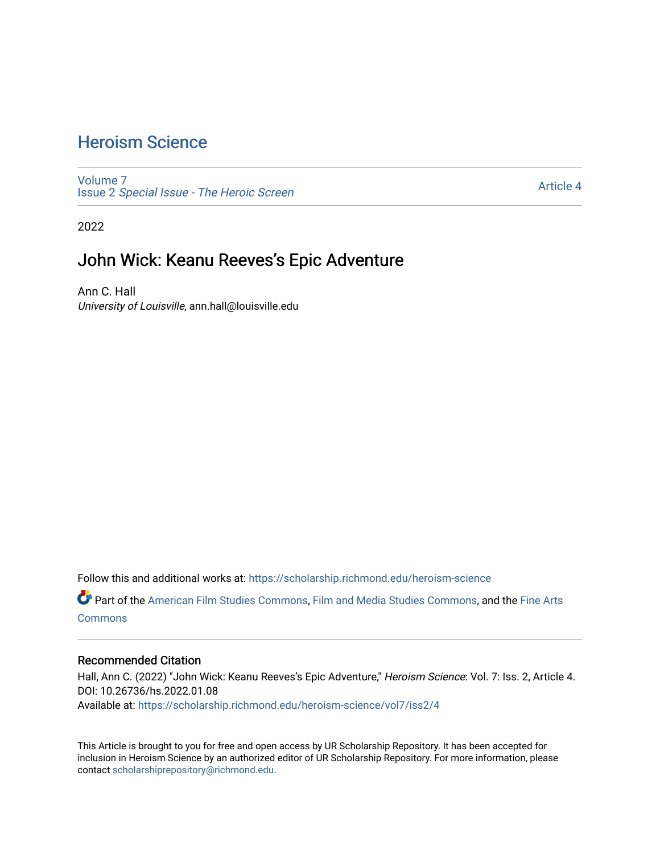# [Heroism Science](https://scholarship.richmond.edu/heroism-science)

[Volume 7](https://scholarship.richmond.edu/heroism-science/vol7) Issue 2 [Special Issue - The Heroic Screen](https://scholarship.richmond.edu/heroism-science/vol7/iss2)

[Article 4](https://scholarship.richmond.edu/heroism-science/vol7/iss2/4) 

2022

## John Wick: Keanu Reeves's Epic Adventure

Ann C. Hall University of Louisville, ann.hall@louisville.edu

Follow this and additional works at: [https://scholarship.richmond.edu/heroism-science](https://scholarship.richmond.edu/heroism-science?utm_source=scholarship.richmond.edu%2Fheroism-science%2Fvol7%2Fiss2%2F4&utm_medium=PDF&utm_campaign=PDFCoverPages) 

Part of the [American Film Studies Commons,](https://network.bepress.com/hgg/discipline/440?utm_source=scholarship.richmond.edu%2Fheroism-science%2Fvol7%2Fiss2%2F4&utm_medium=PDF&utm_campaign=PDFCoverPages) [Film and Media Studies Commons,](https://network.bepress.com/hgg/discipline/563?utm_source=scholarship.richmond.edu%2Fheroism-science%2Fvol7%2Fiss2%2F4&utm_medium=PDF&utm_campaign=PDFCoverPages) and the [Fine Arts](https://network.bepress.com/hgg/discipline/1141?utm_source=scholarship.richmond.edu%2Fheroism-science%2Fvol7%2Fiss2%2F4&utm_medium=PDF&utm_campaign=PDFCoverPages)  **[Commons](https://network.bepress.com/hgg/discipline/1141?utm_source=scholarship.richmond.edu%2Fheroism-science%2Fvol7%2Fiss2%2F4&utm_medium=PDF&utm_campaign=PDFCoverPages)** 

#### Recommended Citation

Hall, Ann C. (2022) "John Wick: Keanu Reeves's Epic Adventure," Heroism Science: Vol. 7: Iss. 2, Article 4. DOI: 10.26736/hs.2022.01.08 Available at: [https://scholarship.richmond.edu/heroism-science/vol7/iss2/4](https://scholarship.richmond.edu/heroism-science/vol7/iss2/4?utm_source=scholarship.richmond.edu%2Fheroism-science%2Fvol7%2Fiss2%2F4&utm_medium=PDF&utm_campaign=PDFCoverPages)

This Article is brought to you for free and open access by UR Scholarship Repository. It has been accepted for inclusion in Heroism Science by an authorized editor of UR Scholarship Repository. For more information, please contact [scholarshiprepository@richmond.edu](mailto:scholarshiprepository@richmond.edu).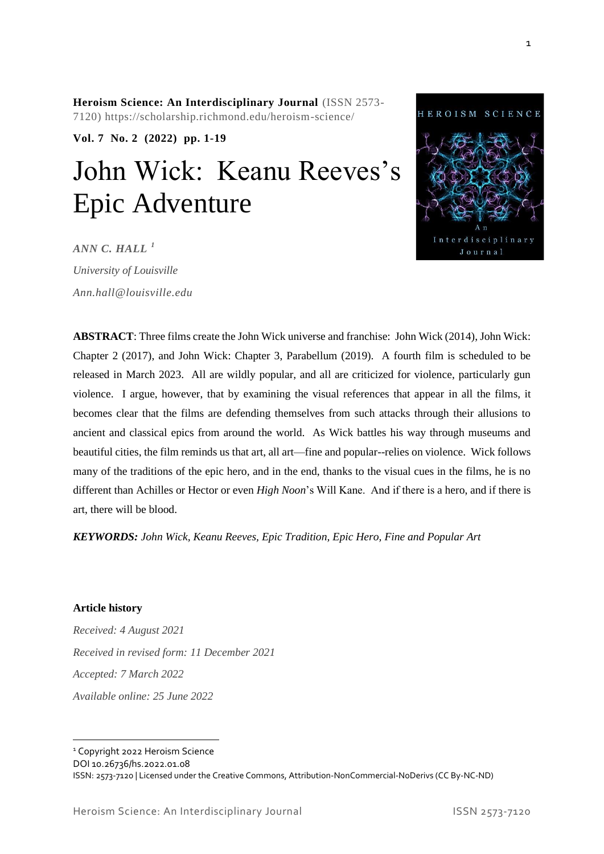**Heroism Science: An Interdisciplinary Journal** (ISSN 2573- 7120) https://scholarship.richmond.edu/heroism-science/

**Vol. 7 No. 2 (2022) pp. 1-19**

# John Wick: Keanu Reeves's Epic Adventure

*ANN C. HALL <sup>1</sup>*

*University of Louisville Ann.hall@louisville.edu*



**ABSTRACT**: Three films create the John Wick universe and franchise: John Wick (2014), John Wick: Chapter 2 (2017), and John Wick: Chapter 3, Parabellum (2019). A fourth film is scheduled to be released in March 2023. All are wildly popular, and all are criticized for violence, particularly gun violence. I argue, however, that by examining the visual references that appear in all the films, it becomes clear that the films are defending themselves from such attacks through their allusions to ancient and classical epics from around the world. As Wick battles his way through museums and beautiful cities, the film reminds us that art, all art—fine and popular--relies on violence. Wick follows many of the traditions of the epic hero, and in the end, thanks to the visual cues in the films, he is no different than Achilles or Hector or even *High Noon*'s Will Kane. And if there is a hero, and if there is art, there will be blood.

*KEYWORDS: John Wick, Keanu Reeves, Epic Tradition, Epic Hero, Fine and Popular Art*

**Article history**

*Received: 4 August 2021 Received in revised form: 11 December 2021 Accepted: 7 March 2022 Available online: 25 June 2022*

<sup>1</sup> Copyright 2022 Heroism Science

DOI 10.26736/hs.2022.01.08

ISSN: 2573-7120 | Licensed under the Creative Commons, Attribution-NonCommercial-NoDerivs (CC By-NC-ND)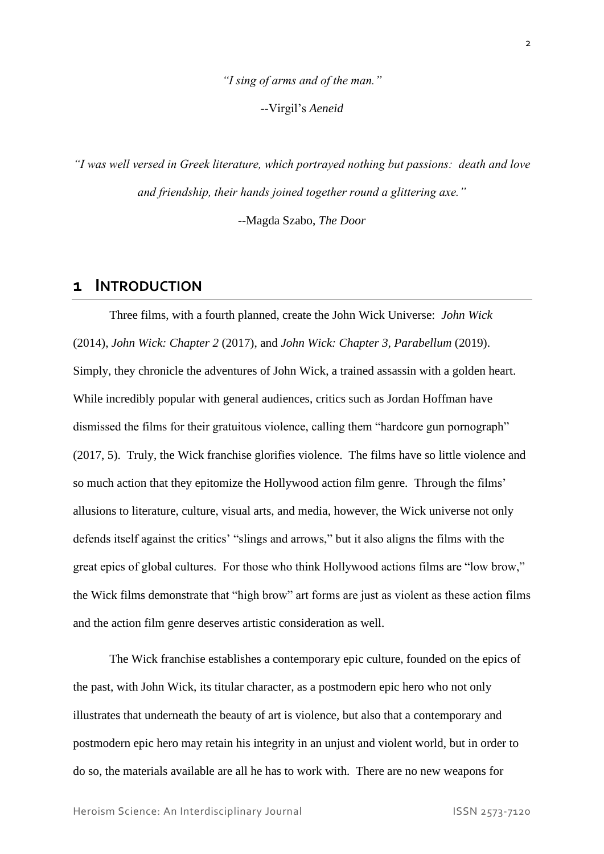*"I sing of arms and of the man."* --Virgil's *Aeneid*

*"I was well versed in Greek literature, which portrayed nothing but passions: death and love and friendship, their hands joined together round a glittering axe."*

--Magda Szabo, *The Door*

#### **1 INTRODUCTION**

Three films, with a fourth planned, create the John Wick Universe: *John Wick* (2014), *John Wick: Chapter 2* (2017), and *John Wick: Chapter 3, Parabellum* (2019). Simply, they chronicle the adventures of John Wick, a trained assassin with a golden heart. While incredibly popular with general audiences, critics such as Jordan Hoffman have dismissed the films for their gratuitous violence, calling them "hardcore gun pornograph" (2017, 5). Truly, the Wick franchise glorifies violence. The films have so little violence and so much action that they epitomize the Hollywood action film genre. Through the films' allusions to literature, culture, visual arts, and media, however, the Wick universe not only defends itself against the critics' "slings and arrows," but it also aligns the films with the great epics of global cultures. For those who think Hollywood actions films are "low brow," the Wick films demonstrate that "high brow" art forms are just as violent as these action films and the action film genre deserves artistic consideration as well.

The Wick franchise establishes a contemporary epic culture, founded on the epics of the past, with John Wick, its titular character, as a postmodern epic hero who not only illustrates that underneath the beauty of art is violence, but also that a contemporary and postmodern epic hero may retain his integrity in an unjust and violent world, but in order to do so, the materials available are all he has to work with. There are no new weapons for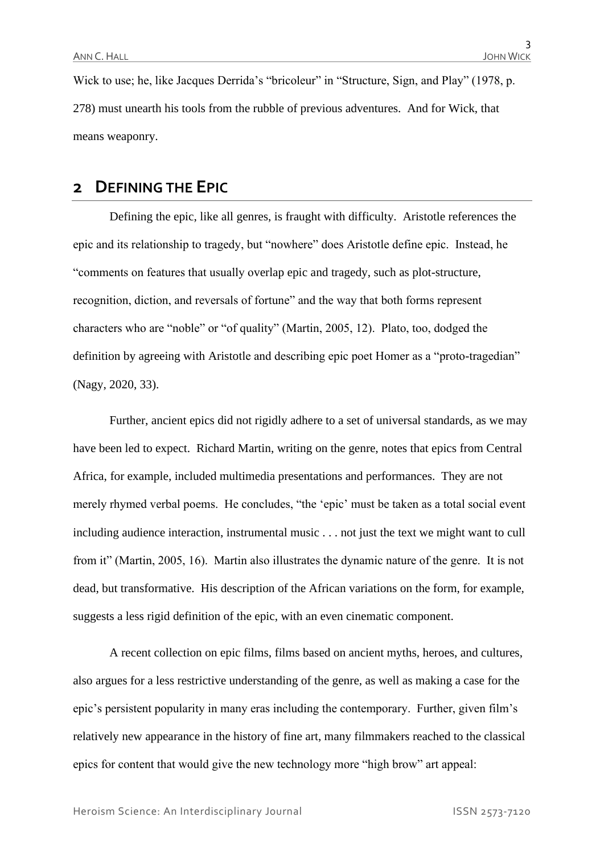Wick to use; he, like Jacques Derrida's "bricoleur" in "Structure, Sign, and Play" (1978, p. 278) must unearth his tools from the rubble of previous adventures. And for Wick, that means weaponry.

## **2 DEFINING THE EPIC**

Defining the epic, like all genres, is fraught with difficulty. Aristotle references the epic and its relationship to tragedy, but "nowhere" does Aristotle define epic. Instead, he "comments on features that usually overlap epic and tragedy, such as plot-structure, recognition, diction, and reversals of fortune" and the way that both forms represent characters who are "noble" or "of quality" (Martin, 2005, 12). Plato, too, dodged the definition by agreeing with Aristotle and describing epic poet Homer as a "proto-tragedian" (Nagy, 2020, 33).

Further, ancient epics did not rigidly adhere to a set of universal standards, as we may have been led to expect. Richard Martin, writing on the genre, notes that epics from Central Africa, for example, included multimedia presentations and performances. They are not merely rhymed verbal poems. He concludes, "the 'epic' must be taken as a total social event including audience interaction, instrumental music . . . not just the text we might want to cull from it" (Martin, 2005, 16). Martin also illustrates the dynamic nature of the genre. It is not dead, but transformative. His description of the African variations on the form, for example, suggests a less rigid definition of the epic, with an even cinematic component.

A recent collection on epic films, films based on ancient myths, heroes, and cultures, also argues for a less restrictive understanding of the genre, as well as making a case for the epic's persistent popularity in many eras including the contemporary. Further, given film's relatively new appearance in the history of fine art, many filmmakers reached to the classical epics for content that would give the new technology more "high brow" art appeal: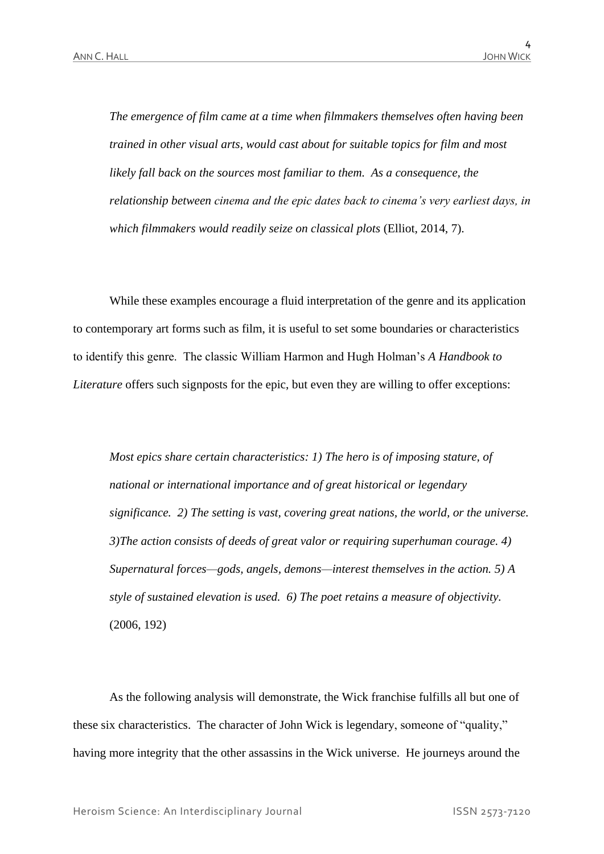*The emergence of film came at a time when filmmakers themselves often having been trained in other visual arts, would cast about for suitable topics for film and most likely fall back on the sources most familiar to them. As a consequence, the relationship between cinema and the epic dates back to cinema's very earliest days, in which filmmakers would readily seize on classical plots* (Elliot, 2014, 7).

While these examples encourage a fluid interpretation of the genre and its application to contemporary art forms such as film, it is useful to set some boundaries or characteristics to identify this genre. The classic William Harmon and Hugh Holman's *A Handbook to Literature* offers such signposts for the epic, but even they are willing to offer exceptions:

*Most epics share certain characteristics: 1) The hero is of imposing stature, of national or international importance and of great historical or legendary significance. 2) The setting is vast, covering great nations, the world, or the universe. 3)The action consists of deeds of great valor or requiring superhuman courage. 4) Supernatural forces—gods, angels, demons—interest themselves in the action. 5) A style of sustained elevation is used. 6) The poet retains a measure of objectivity.* (2006, 192)

As the following analysis will demonstrate, the Wick franchise fulfills all but one of these six characteristics. The character of John Wick is legendary, someone of "quality," having more integrity that the other assassins in the Wick universe. He journeys around the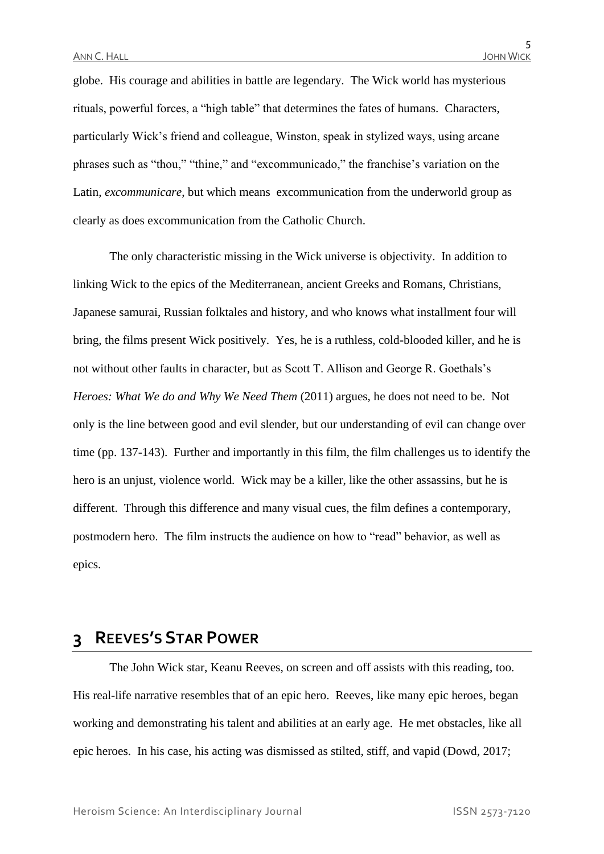globe. His courage and abilities in battle are legendary. The Wick world has mysterious rituals, powerful forces, a "high table" that determines the fates of humans. Characters, particularly Wick's friend and colleague, Winston, speak in stylized ways, using arcane phrases such as "thou," "thine," and "excommunicado," the franchise's variation on the Latin, *excommunicare*, but which means excommunication from the underworld group as clearly as does excommunication from the Catholic Church.

The only characteristic missing in the Wick universe is objectivity. In addition to linking Wick to the epics of the Mediterranean, ancient Greeks and Romans, Christians, Japanese samurai, Russian folktales and history, and who knows what installment four will bring, the films present Wick positively. Yes, he is a ruthless, cold-blooded killer, and he is not without other faults in character, but as Scott T. Allison and George R. Goethals's *Heroes: What We do and Why We Need Them* (2011) argues, he does not need to be. Not only is the line between good and evil slender, but our understanding of evil can change over time (pp. 137-143). Further and importantly in this film, the film challenges us to identify the hero is an unjust, violence world. Wick may be a killer, like the other assassins, but he is different. Through this difference and many visual cues, the film defines a contemporary, postmodern hero. The film instructs the audience on how to "read" behavior, as well as epics.

## **3 REEVES'S STAR POWER**

The John Wick star, Keanu Reeves, on screen and off assists with this reading, too. His real-life narrative resembles that of an epic hero. Reeves, like many epic heroes, began working and demonstrating his talent and abilities at an early age. He met obstacles, like all epic heroes. In his case, his acting was dismissed as stilted, stiff, and vapid (Dowd, 2017;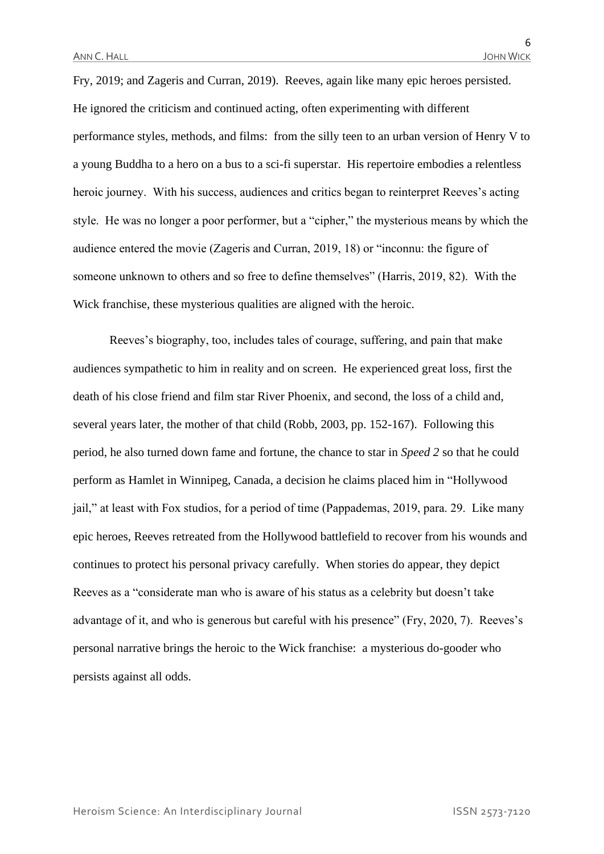Fry, 2019; and Zageris and Curran, 2019). Reeves, again like many epic heroes persisted. He ignored the criticism and continued acting, often experimenting with different performance styles, methods, and films: from the silly teen to an urban version of Henry V to a young Buddha to a hero on a bus to a sci-fi superstar. His repertoire embodies a relentless heroic journey. With his success, audiences and critics began to reinterpret Reeves's acting style. He was no longer a poor performer, but a "cipher," the mysterious means by which the audience entered the movie (Zageris and Curran, 2019, 18) or "inconnu: the figure of someone unknown to others and so free to define themselves" (Harris, 2019, 82). With the Wick franchise, these mysterious qualities are aligned with the heroic.

Reeves's biography, too, includes tales of courage, suffering, and pain that make audiences sympathetic to him in reality and on screen. He experienced great loss, first the death of his close friend and film star River Phoenix, and second, the loss of a child and, several years later, the mother of that child (Robb, 2003, pp. 152-167). Following this period, he also turned down fame and fortune, the chance to star in *Speed 2* so that he could perform as Hamlet in Winnipeg, Canada, a decision he claims placed him in "Hollywood jail," at least with Fox studios, for a period of time (Pappademas, 2019, para. 29. Like many epic heroes, Reeves retreated from the Hollywood battlefield to recover from his wounds and continues to protect his personal privacy carefully. When stories do appear, they depict Reeves as a "considerate man who is aware of his status as a celebrity but doesn't take advantage of it, and who is generous but careful with his presence" (Fry, 2020, 7). Reeves's personal narrative brings the heroic to the Wick franchise: a mysterious do-gooder who persists against all odds.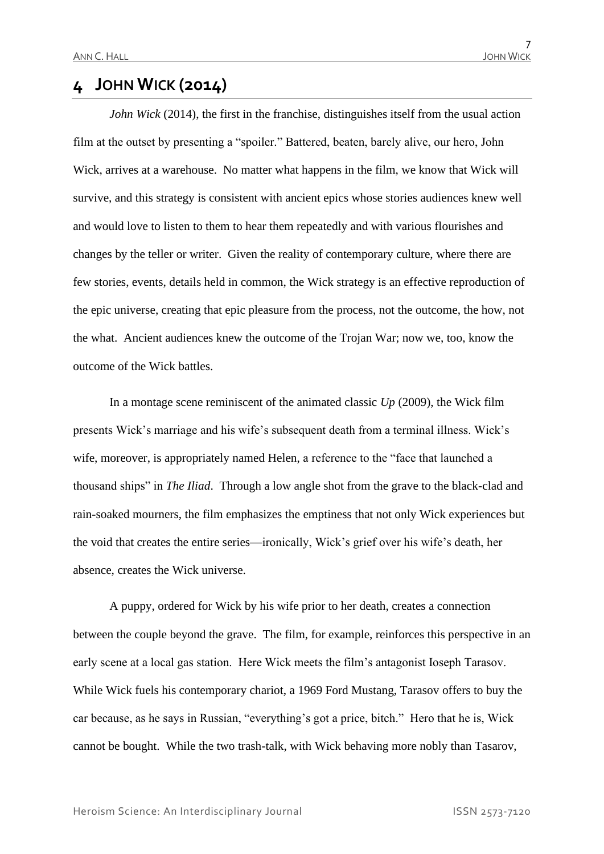# **4 JOHN WICK (2014)**

*John Wick* (2014), the first in the franchise, distinguishes itself from the usual action film at the outset by presenting a "spoiler." Battered, beaten, barely alive, our hero, John Wick, arrives at a warehouse. No matter what happens in the film, we know that Wick will survive, and this strategy is consistent with ancient epics whose stories audiences knew well and would love to listen to them to hear them repeatedly and with various flourishes and changes by the teller or writer. Given the reality of contemporary culture, where there are few stories, events, details held in common, the Wick strategy is an effective reproduction of the epic universe, creating that epic pleasure from the process, not the outcome, the how, not the what. Ancient audiences knew the outcome of the Trojan War; now we, too, know the outcome of the Wick battles.

In a montage scene reminiscent of the animated classic *Up* (2009), the Wick film presents Wick's marriage and his wife's subsequent death from a terminal illness. Wick's wife, moreover, is appropriately named Helen, a reference to the "face that launched a thousand ships" in *The Iliad*. Through a low angle shot from the grave to the black-clad and rain-soaked mourners, the film emphasizes the emptiness that not only Wick experiences but the void that creates the entire series—ironically, Wick's grief over his wife's death, her absence, creates the Wick universe.

A puppy, ordered for Wick by his wife prior to her death, creates a connection between the couple beyond the grave. The film, for example, reinforces this perspective in an early scene at a local gas station. Here Wick meets the film's antagonist Ioseph Tarasov. While Wick fuels his contemporary chariot, a 1969 Ford Mustang, Tarasov offers to buy the car because, as he says in Russian, "everything's got a price, bitch." Hero that he is, Wick cannot be bought. While the two trash-talk, with Wick behaving more nobly than Tasarov,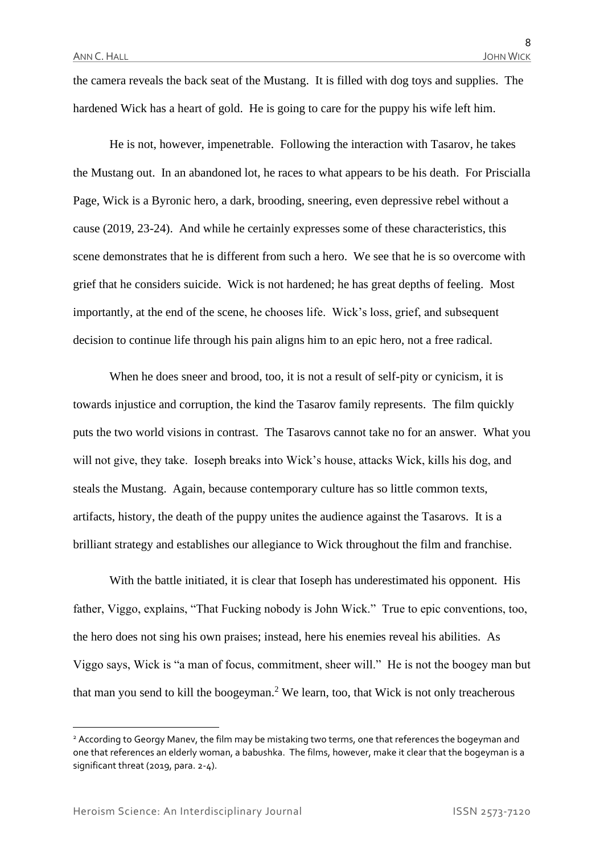the camera reveals the back seat of the Mustang. It is filled with dog toys and supplies. The hardened Wick has a heart of gold. He is going to care for the puppy his wife left him.

He is not, however, impenetrable. Following the interaction with Tasarov, he takes the Mustang out. In an abandoned lot, he races to what appears to be his death. For Priscialla Page, Wick is a Byronic hero, a dark, brooding, sneering, even depressive rebel without a cause (2019, 23-24). And while he certainly expresses some of these characteristics, this scene demonstrates that he is different from such a hero. We see that he is so overcome with grief that he considers suicide. Wick is not hardened; he has great depths of feeling. Most importantly, at the end of the scene, he chooses life. Wick's loss, grief, and subsequent decision to continue life through his pain aligns him to an epic hero, not a free radical.

When he does sneer and brood, too, it is not a result of self-pity or cynicism, it is towards injustice and corruption, the kind the Tasarov family represents. The film quickly puts the two world visions in contrast. The Tasarovs cannot take no for an answer. What you will not give, they take. Ioseph breaks into Wick's house, attacks Wick, kills his dog, and steals the Mustang. Again, because contemporary culture has so little common texts, artifacts, history, the death of the puppy unites the audience against the Tasarovs. It is a brilliant strategy and establishes our allegiance to Wick throughout the film and franchise.

With the battle initiated, it is clear that Ioseph has underestimated his opponent. His father, Viggo, explains, "That Fucking nobody is John Wick." True to epic conventions, too, the hero does not sing his own praises; instead, here his enemies reveal his abilities. As Viggo says, Wick is "a man of focus, commitment, sheer will." He is not the boogey man but that man you send to kill the boogeyman.<sup>2</sup> We learn, too, that Wick is not only treacherous

<sup>&</sup>lt;sup>2</sup> According to Georgy Manev, the film may be mistaking two terms, one that references the bogeyman and one that references an elderly woman, a babushka. The films, however, make it clear that the bogeyman is a significant threat (2019, para. 2-4).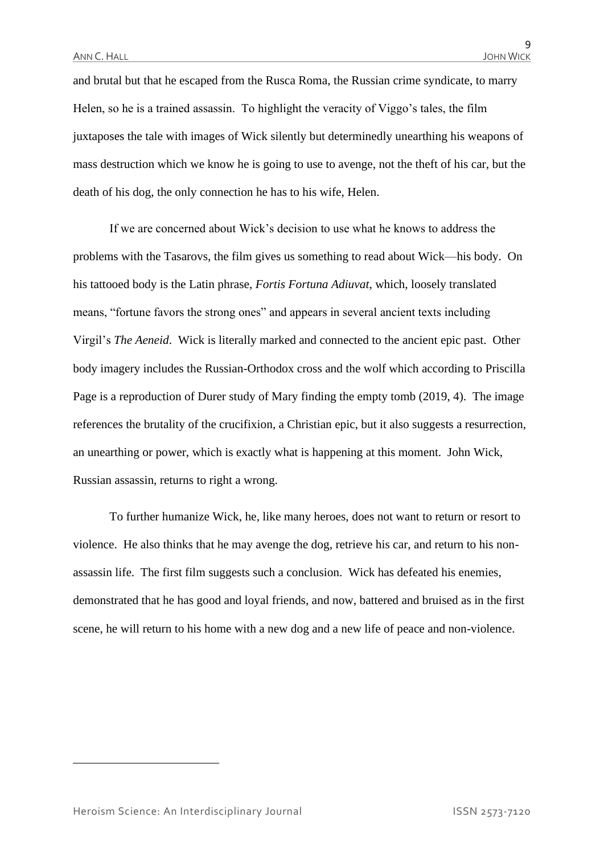and brutal but that he escaped from the Rusca Roma, the Russian crime syndicate, to marry Helen, so he is a trained assassin. To highlight the veracity of Viggo's tales, the film juxtaposes the tale with images of Wick silently but determinedly unearthing his weapons of mass destruction which we know he is going to use to avenge, not the theft of his car, but the death of his dog, the only connection he has to his wife, Helen.

If we are concerned about Wick's decision to use what he knows to address the problems with the Tasarovs, the film gives us something to read about Wick—his body. On his tattooed body is the Latin phrase, *Fortis Fortuna Adiuvat*, which, loosely translated means, "fortune favors the strong ones" and appears in several ancient texts including Virgil's *The Aeneid*. Wick is literally marked and connected to the ancient epic past. Other body imagery includes the Russian-Orthodox cross and the wolf which according to Priscilla Page is a reproduction of Durer study of Mary finding the empty tomb (2019, 4). The image references the brutality of the crucifixion, a Christian epic, but it also suggests a resurrection, an unearthing or power, which is exactly what is happening at this moment. John Wick, Russian assassin, returns to right a wrong.

To further humanize Wick, he, like many heroes, does not want to return or resort to violence. He also thinks that he may avenge the dog, retrieve his car, and return to his nonassassin life. The first film suggests such a conclusion. Wick has defeated his enemies, demonstrated that he has good and loyal friends, and now, battered and bruised as in the first scene, he will return to his home with a new dog and a new life of peace and non-violence.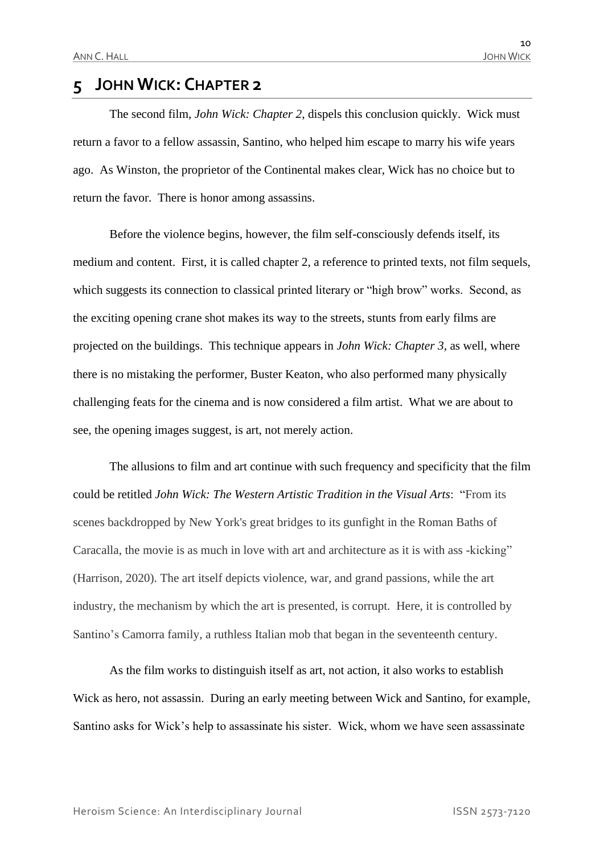# **5 JOHN WICK: CHAPTER 2**

The second film, *John Wick: Chapter 2*, dispels this conclusion quickly. Wick must return a favor to a fellow assassin, Santino, who helped him escape to marry his wife years ago. As Winston, the proprietor of the Continental makes clear, Wick has no choice but to return the favor. There is honor among assassins.

Before the violence begins, however, the film self-consciously defends itself, its medium and content. First, it is called chapter 2, a reference to printed texts, not film sequels, which suggests its connection to classical printed literary or "high brow" works. Second, as the exciting opening crane shot makes its way to the streets, stunts from early films are projected on the buildings. This technique appears in *John Wick: Chapter 3*, as well, where there is no mistaking the performer, Buster Keaton, who also performed many physically challenging feats for the cinema and is now considered a film artist. What we are about to see, the opening images suggest, is art, not merely action.

The allusions to film and art continue with such frequency and specificity that the film could be retitled *John Wick: The Western Artistic Tradition in the Visual Arts*: "From its scenes backdropped by New York's great bridges to its gunfight in the Roman Baths of Caracalla, the movie is as much in love with art and architecture as it is with ass -kicking" (Harrison, 2020). The art itself depicts violence, war, and grand passions, while the art industry, the mechanism by which the art is presented, is corrupt. Here, it is controlled by Santino's Camorra family, a ruthless Italian mob that began in the seventeenth century.

As the film works to distinguish itself as art, not action, it also works to establish Wick as hero, not assassin. During an early meeting between Wick and Santino, for example, Santino asks for Wick's help to assassinate his sister. Wick, whom we have seen assassinate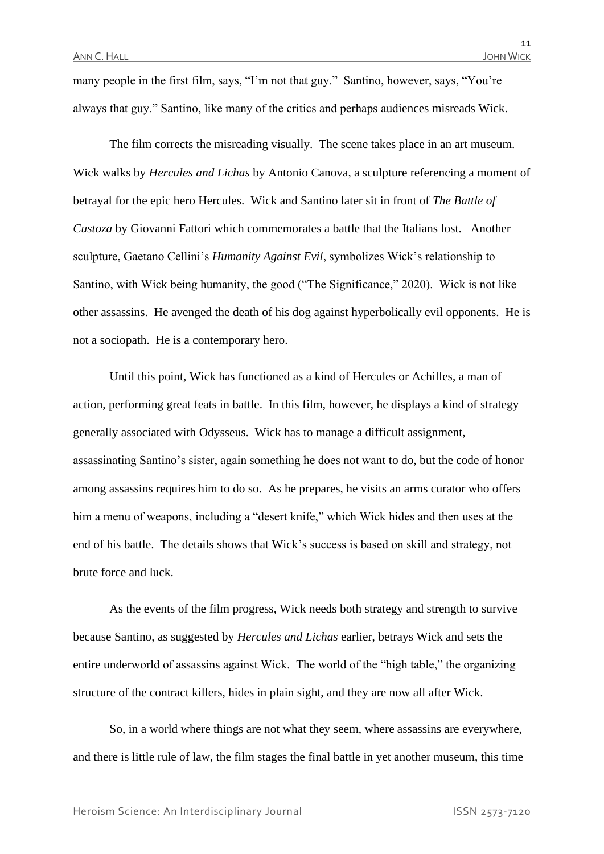many people in the first film, says, "I'm not that guy." Santino, however, says, "You're always that guy." Santino, like many of the critics and perhaps audiences misreads Wick.

The film corrects the misreading visually. The scene takes place in an art museum. Wick walks by *Hercules and Lichas* by Antonio Canova, a sculpture referencing a moment of betrayal for the epic hero Hercules. Wick and Santino later sit in front of *The Battle of Custoza* by Giovanni Fattori which commemorates a battle that the Italians lost. Another sculpture, Gaetano Cellini's *Humanity Against Evil*, symbolizes Wick's relationship to Santino, with Wick being humanity, the good ("The Significance," 2020). Wick is not like other assassins. He avenged the death of his dog against hyperbolically evil opponents. He is not a sociopath. He is a contemporary hero.

Until this point, Wick has functioned as a kind of Hercules or Achilles, a man of action, performing great feats in battle. In this film, however, he displays a kind of strategy generally associated with Odysseus. Wick has to manage a difficult assignment, assassinating Santino's sister, again something he does not want to do, but the code of honor among assassins requires him to do so. As he prepares, he visits an arms curator who offers him a menu of weapons, including a "desert knife," which Wick hides and then uses at the end of his battle. The details shows that Wick's success is based on skill and strategy, not brute force and luck.

As the events of the film progress, Wick needs both strategy and strength to survive because Santino, as suggested by *Hercules and Lichas* earlier, betrays Wick and sets the entire underworld of assassins against Wick. The world of the "high table," the organizing structure of the contract killers, hides in plain sight, and they are now all after Wick.

So, in a world where things are not what they seem, where assassins are everywhere, and there is little rule of law, the film stages the final battle in yet another museum, this time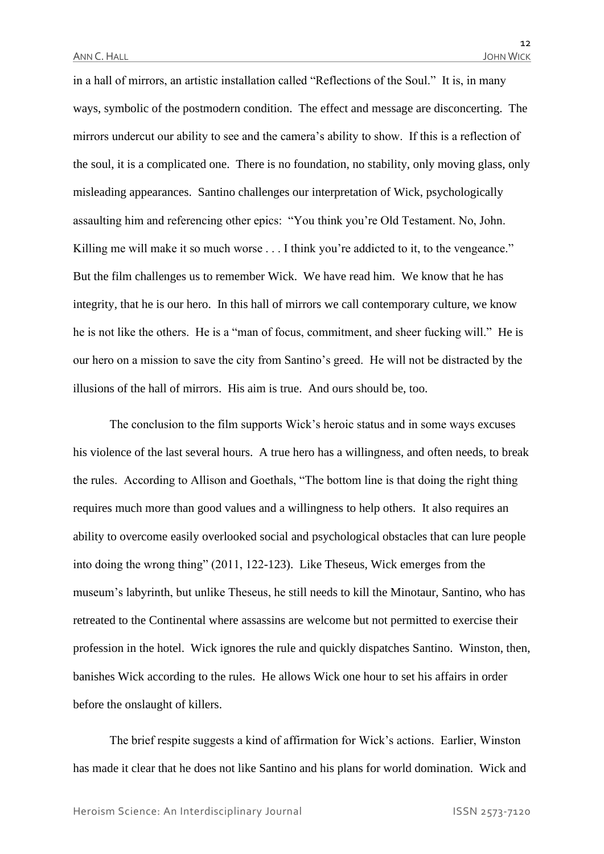in a hall of mirrors, an artistic installation called "Reflections of the Soul." It is, in many ways, symbolic of the postmodern condition. The effect and message are disconcerting. The mirrors undercut our ability to see and the camera's ability to show. If this is a reflection of the soul, it is a complicated one. There is no foundation, no stability, only moving glass, only misleading appearances. Santino challenges our interpretation of Wick, psychologically assaulting him and referencing other epics: "You think you're Old Testament. No, John. Killing me will make it so much worse . . . I think you're addicted to it, to the vengeance." But the film challenges us to remember Wick. We have read him. We know that he has integrity, that he is our hero. In this hall of mirrors we call contemporary culture, we know he is not like the others. He is a "man of focus, commitment, and sheer fucking will." He is our hero on a mission to save the city from Santino's greed. He will not be distracted by the illusions of the hall of mirrors. His aim is true. And ours should be, too.

The conclusion to the film supports Wick's heroic status and in some ways excuses his violence of the last several hours. A true hero has a willingness, and often needs, to break the rules. According to Allison and Goethals, "The bottom line is that doing the right thing requires much more than good values and a willingness to help others. It also requires an ability to overcome easily overlooked social and psychological obstacles that can lure people into doing the wrong thing" (2011, 122-123). Like Theseus, Wick emerges from the museum's labyrinth, but unlike Theseus, he still needs to kill the Minotaur, Santino, who has retreated to the Continental where assassins are welcome but not permitted to exercise their profession in the hotel. Wick ignores the rule and quickly dispatches Santino. Winston, then, banishes Wick according to the rules. He allows Wick one hour to set his affairs in order before the onslaught of killers.

The brief respite suggests a kind of affirmation for Wick's actions. Earlier, Winston has made it clear that he does not like Santino and his plans for world domination. Wick and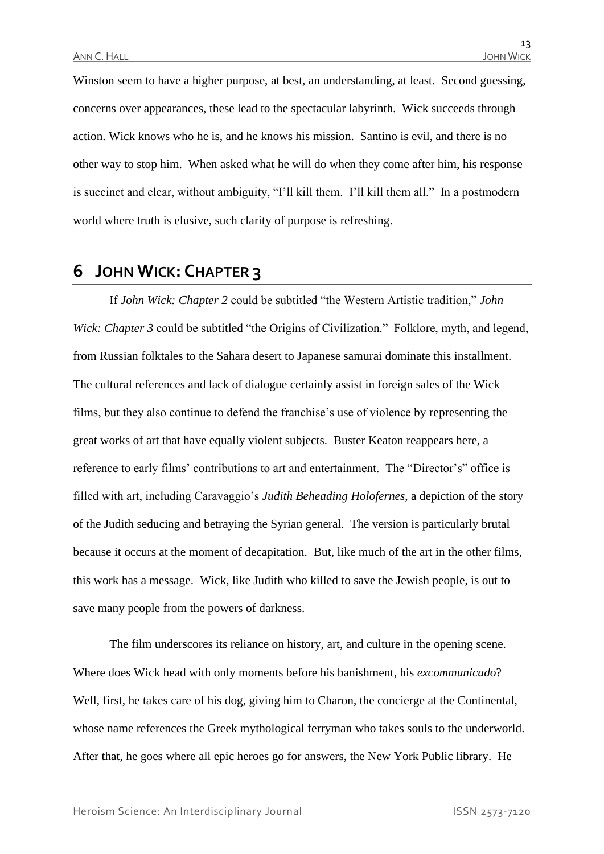Winston seem to have a higher purpose, at best, an understanding, at least. Second guessing, concerns over appearances, these lead to the spectacular labyrinth. Wick succeeds through action. Wick knows who he is, and he knows his mission. Santino is evil, and there is no other way to stop him. When asked what he will do when they come after him, his response is succinct and clear, without ambiguity, "I'll kill them. I'll kill them all." In a postmodern world where truth is elusive, such clarity of purpose is refreshing.

## **6 JOHN WICK: CHAPTER 3**

If *John Wick: Chapter 2* could be subtitled "the Western Artistic tradition," *John Wick: Chapter 3* could be subtitled "the Origins of Civilization." Folklore, myth, and legend, from Russian folktales to the Sahara desert to Japanese samurai dominate this installment. The cultural references and lack of dialogue certainly assist in foreign sales of the Wick films, but they also continue to defend the franchise's use of violence by representing the great works of art that have equally violent subjects. Buster Keaton reappears here, a reference to early films' contributions to art and entertainment. The "Director's" office is filled with art, including Caravaggio's *Judith Beheading Holofernes*, a depiction of the story of the Judith seducing and betraying the Syrian general. The version is particularly brutal because it occurs at the moment of decapitation. But, like much of the art in the other films, this work has a message. Wick, like Judith who killed to save the Jewish people, is out to save many people from the powers of darkness.

The film underscores its reliance on history, art, and culture in the opening scene. Where does Wick head with only moments before his banishment, his *excommunicado*? Well, first, he takes care of his dog, giving him to Charon, the concierge at the Continental, whose name references the Greek mythological ferryman who takes souls to the underworld. After that, he goes where all epic heroes go for answers, the New York Public library. He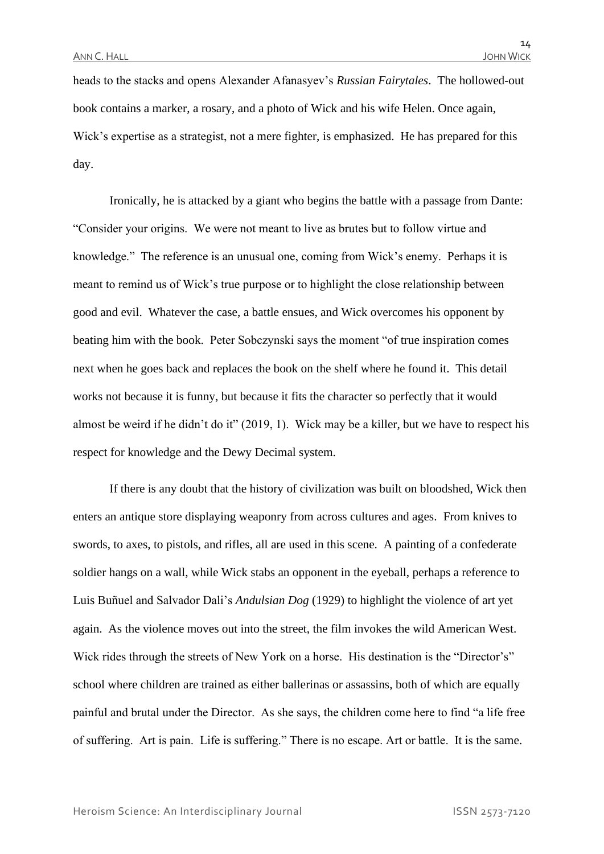heads to the stacks and opens Alexander Afanasyev's *Russian Fairytales*. The hollowed-out book contains a marker, a rosary, and a photo of Wick and his wife Helen. Once again, Wick's expertise as a strategist, not a mere fighter, is emphasized. He has prepared for this day.

Ironically, he is attacked by a giant who begins the battle with a passage from Dante: "Consider your origins. We were not meant to live as brutes but to follow virtue and knowledge." The reference is an unusual one, coming from Wick's enemy. Perhaps it is meant to remind us of Wick's true purpose or to highlight the close relationship between good and evil. Whatever the case, a battle ensues, and Wick overcomes his opponent by beating him with the book. Peter Sobczynski says the moment "of true inspiration comes next when he goes back and replaces the book on the shelf where he found it. This detail works not because it is funny, but because it fits the character so perfectly that it would almost be weird if he didn't do it" (2019, 1). Wick may be a killer, but we have to respect his respect for knowledge and the Dewy Decimal system.

If there is any doubt that the history of civilization was built on bloodshed, Wick then enters an antique store displaying weaponry from across cultures and ages. From knives to swords, to axes, to pistols, and rifles, all are used in this scene. A painting of a confederate soldier hangs on a wall, while Wick stabs an opponent in the eyeball, perhaps a reference to Luis Buñuel and Salvador Dali's *Andulsian Dog* (1929) to highlight the violence of art yet again. As the violence moves out into the street, the film invokes the wild American West. Wick rides through the streets of New York on a horse. His destination is the "Director's" school where children are trained as either ballerinas or assassins, both of which are equally painful and brutal under the Director. As she says, the children come here to find "a life free of suffering. Art is pain. Life is suffering." There is no escape. Art or battle. It is the same.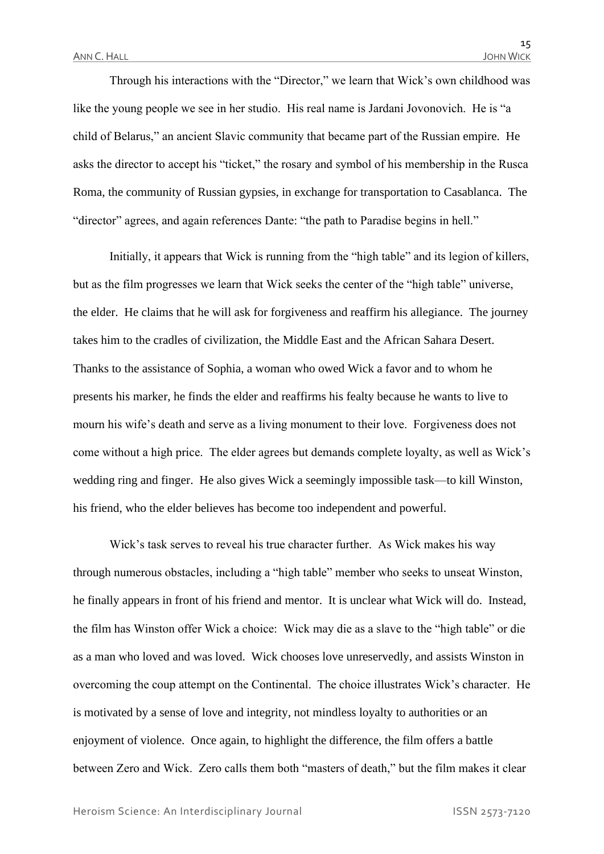Through his interactions with the "Director," we learn that Wick's own childhood was like the young people we see in her studio. His real name is Jardani Jovonovich. He is "a child of Belarus," an ancient Slavic community that became part of the Russian empire. He asks the director to accept his "ticket," the rosary and symbol of his membership in the Rusca Roma, the community of Russian gypsies, in exchange for transportation to Casablanca. The "director" agrees, and again references Dante: "the path to Paradise begins in hell."

Initially, it appears that Wick is running from the "high table" and its legion of killers, but as the film progresses we learn that Wick seeks the center of the "high table" universe, the elder. He claims that he will ask for forgiveness and reaffirm his allegiance. The journey takes him to the cradles of civilization, the Middle East and the African Sahara Desert. Thanks to the assistance of Sophia, a woman who owed Wick a favor and to whom he presents his marker, he finds the elder and reaffirms his fealty because he wants to live to mourn his wife's death and serve as a living monument to their love. Forgiveness does not come without a high price. The elder agrees but demands complete loyalty, as well as Wick's wedding ring and finger. He also gives Wick a seemingly impossible task—to kill Winston, his friend, who the elder believes has become too independent and powerful.

Wick's task serves to reveal his true character further. As Wick makes his way through numerous obstacles, including a "high table" member who seeks to unseat Winston, he finally appears in front of his friend and mentor. It is unclear what Wick will do. Instead, the film has Winston offer Wick a choice: Wick may die as a slave to the "high table" or die as a man who loved and was loved. Wick chooses love unreservedly, and assists Winston in overcoming the coup attempt on the Continental. The choice illustrates Wick's character. He is motivated by a sense of love and integrity, not mindless loyalty to authorities or an enjoyment of violence. Once again, to highlight the difference, the film offers a battle between Zero and Wick. Zero calls them both "masters of death," but the film makes it clear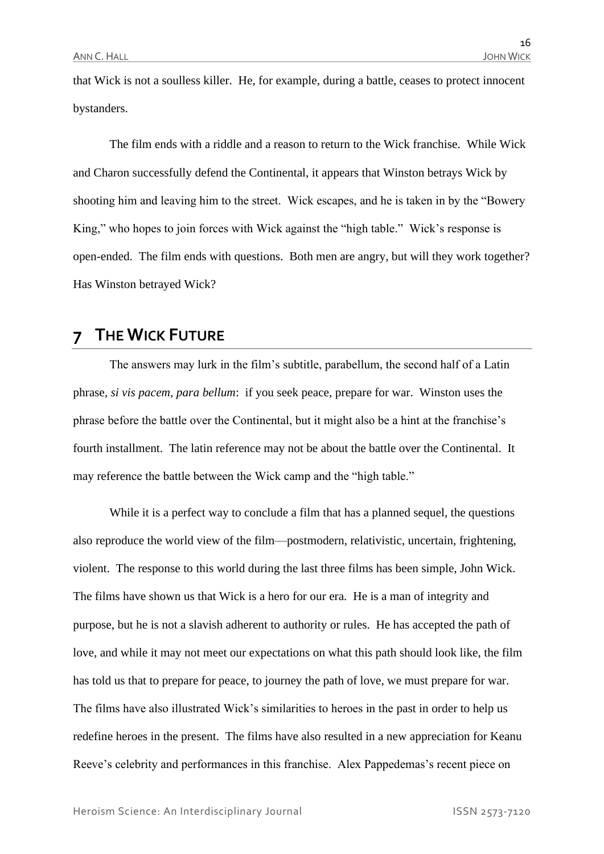that Wick is not a soulless killer. He, for example, during a battle, ceases to protect innocent bystanders.

The film ends with a riddle and a reason to return to the Wick franchise. While Wick and Charon successfully defend the Continental, it appears that Winston betrays Wick by shooting him and leaving him to the street. Wick escapes, and he is taken in by the "Bowery King," who hopes to join forces with Wick against the "high table." Wick's response is open-ended. The film ends with questions. Both men are angry, but will they work together? Has Winston betrayed Wick?

# **7 THE WICK FUTURE**

The answers may lurk in the film's subtitle, parabellum, the second half of a Latin phrase, *si vis pacem, para bellum*: if you seek peace, prepare for war. Winston uses the phrase before the battle over the Continental, but it might also be a hint at the franchise's fourth installment. The latin reference may not be about the battle over the Continental. It may reference the battle between the Wick camp and the "high table."

While it is a perfect way to conclude a film that has a planned sequel, the questions also reproduce the world view of the film—postmodern, relativistic, uncertain, frightening, violent. The response to this world during the last three films has been simple, John Wick. The films have shown us that Wick is a hero for our era. He is a man of integrity and purpose, but he is not a slavish adherent to authority or rules. He has accepted the path of love, and while it may not meet our expectations on what this path should look like, the film has told us that to prepare for peace, to journey the path of love, we must prepare for war. The films have also illustrated Wick's similarities to heroes in the past in order to help us redefine heroes in the present. The films have also resulted in a new appreciation for Keanu Reeve's celebrity and performances in this franchise. Alex Pappedemas's recent piece on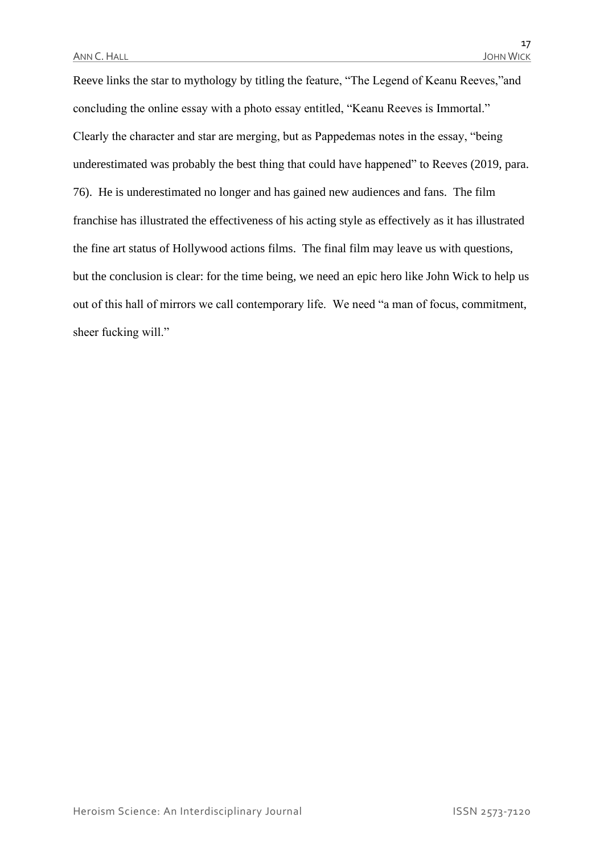Reeve links the star to mythology by titling the feature, "The Legend of Keanu Reeves,"and concluding the online essay with a photo essay entitled, "Keanu Reeves is Immortal." Clearly the character and star are merging, but as Pappedemas notes in the essay, "being underestimated was probably the best thing that could have happened" to Reeves (2019, para. 76). He is underestimated no longer and has gained new audiences and fans. The film franchise has illustrated the effectiveness of his acting style as effectively as it has illustrated the fine art status of Hollywood actions films. The final film may leave us with questions, but the conclusion is clear: for the time being, we need an epic hero like John Wick to help us out of this hall of mirrors we call contemporary life. We need "a man of focus, commitment, sheer fucking will."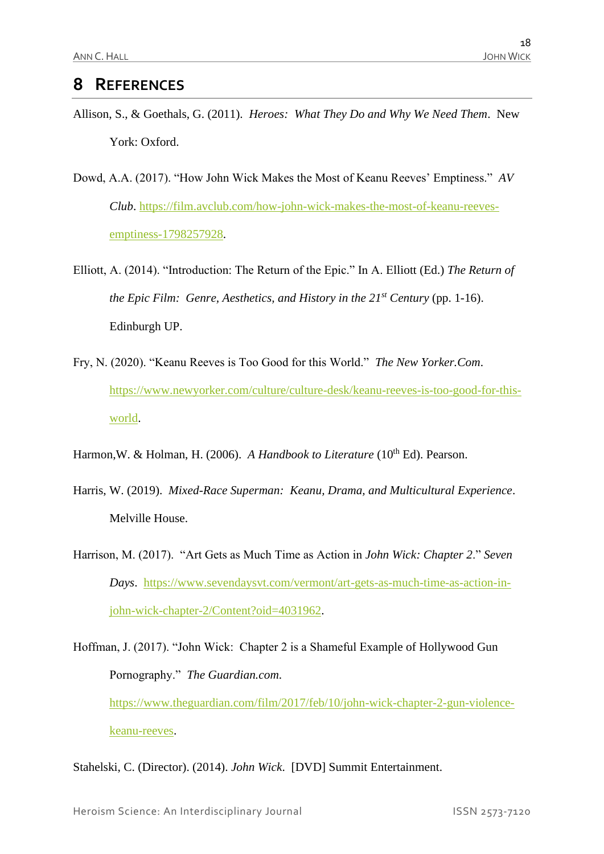# **8 REFERENCES**

- Allison, S., & Goethals, G. (2011). *Heroes: What They Do and Why We Need Them*. New York: Oxford.
- Dowd, A.A. (2017). "How John Wick Makes the Most of Keanu Reeves' Emptiness." *AV Club*. [https://film.avclub.com/how-john-wick-makes-the-most-of-keanu-reeves](https://film.avclub.com/how-john-wick-makes-the-most-of-keanu-reeves-emptiness-1798257928)[emptiness-1798257928.](https://film.avclub.com/how-john-wick-makes-the-most-of-keanu-reeves-emptiness-1798257928)
- Elliott, A. (2014). "Introduction: The Return of the Epic." In A. Elliott (Ed.) *The Return of the Epic Film: Genre, Aesthetics, and History in the 21st Century* (pp. 1-16). Edinburgh UP.
- Fry, N. (2020). "Keanu Reeves is Too Good for this World." *The New Yorker.Com*. [https://www.newyorker.com/culture/culture-desk/keanu-reeves-is-too-good-for-this](https://www.newyorker.com/culture/culture-desk/keanu-reeves-is-too-good-for-this-world)[world.](https://www.newyorker.com/culture/culture-desk/keanu-reeves-is-too-good-for-this-world)
- Harmon, W. & Holman, H. (2006). *A Handbook to Literature* (10<sup>th</sup> Ed). Pearson.
- Harris, W. (2019). *Mixed-Race Superman: Keanu, Drama, and Multicultural Experience*. Melville House.
- Harrison, M. (2017). "Art Gets as Much Time as Action in *John Wick: Chapter 2*." *Seven Days*. [https://www.sevendaysvt.com/vermont/art-gets-as-much-time-as-action-in](https://www.sevendaysvt.com/vermont/art-gets-as-much-time-as-action-in-john-wick-chapter-2/Content?oid=4031962)[john-wick-chapter-2/Content?oid=4031962.](https://www.sevendaysvt.com/vermont/art-gets-as-much-time-as-action-in-john-wick-chapter-2/Content?oid=4031962)
- Hoffman, J. (2017). "John Wick: Chapter 2 is a Shameful Example of Hollywood Gun Pornography." *The Guardian.com*. [https://www.theguardian.com/film/2017/feb/10/john-wick-chapter-2-gun-violence](https://www.theguardian.com/film/2017/feb/10/john-wick-chapter-2-gun-violence-keanu-reeves)[keanu-reeves.](https://www.theguardian.com/film/2017/feb/10/john-wick-chapter-2-gun-violence-keanu-reeves)
- Stahelski, C. (Director). (2014). *John Wick*. [DVD] Summit Entertainment.